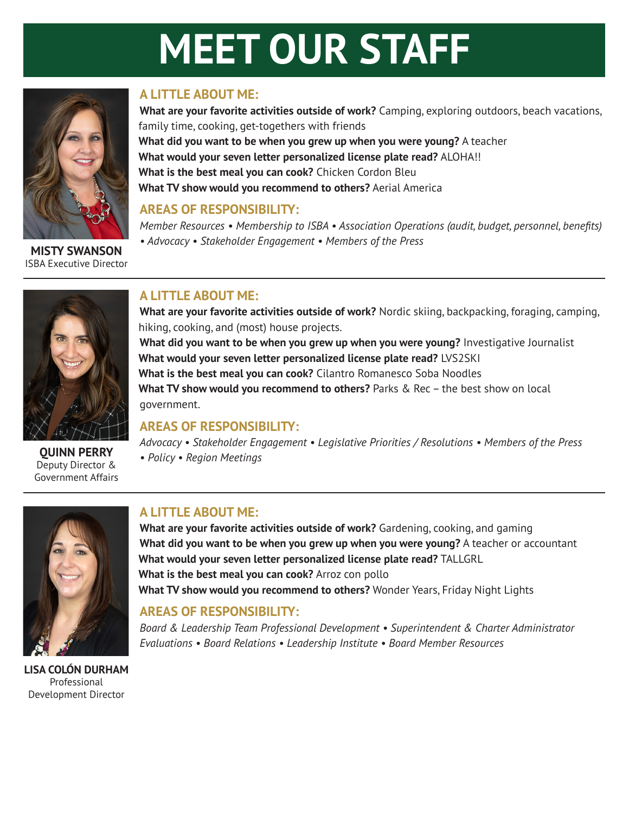# **MEET OUR STAFF**



**MISTY SWANSON** ISBA Executive Director

## **A LITTLE ABOUT ME:**

**What are your favorite activities outside of work?** Camping, exploring outdoors, beach vacations, family time, cooking, get-togethers with friends **What did you want to be when you grew up when you were young?** A teacher **What would your seven letter personalized license plate read?** ALOHA!! **What is the best meal you can cook?** Chicken Cordon Bleu **What TV show would you recommend to others?** Aerial America

### **AREAS OF RESPONSIBILITY:**

*Member Resources • Membership to ISBA • Association Operations (audit, budget, personnel, benefits) • Advocacy • Stakeholder Engagement • Members of the Press*



Deputy Director &

Government Affairs

### **A LITTLE ABOUT ME:**

**What are your favorite activities outside of work?** Nordic skiing, backpacking, foraging, camping, hiking, cooking, and (most) house projects.

**What did you want to be when you grew up when you were young?** Investigative Journalist **What would your seven letter personalized license plate read?** LVS2SKI **What is the best meal you can cook?** Cilantro Romanesco Soba Noodles **What TV show would you recommend to others?** Parks & Rec – the best show on local government.

#### **AREAS OF RESPONSIBILITY:**

*Advocacy • Stakeholder Engagement • Legislative Priorities / Resolutions • Members of the Press • Policy • Region Meetings* **QUINN PERRY**



**LISA COLÓN DURHAM** Professional Development Director

## **A LITTLE ABOUT ME:**

**What are your favorite activities outside of work?** Gardening, cooking, and gaming **What did you want to be when you grew up when you were young?** A teacher or accountant **What would your seven letter personalized license plate read?** TALLGRL **What is the best meal you can cook?** Arroz con pollo **What TV show would you recommend to others?** Wonder Years, Friday Night Lights

## **AREAS OF RESPONSIBILITY:**

*Board & Leadership Team Professional Development • Superintendent & Charter Administrator Evaluations • Board Relations • Leadership Institute • Board Member Resources*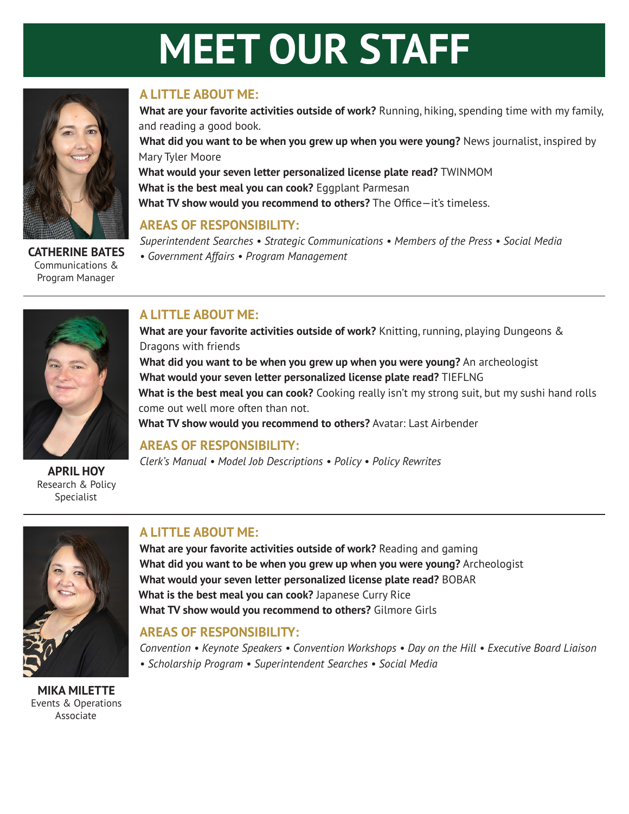# **MEET OUR STAFF**



**CATHERINE BATES** Communications & Program Manager

## **A LITTLE ABOUT ME:**

**What are your favorite activities outside of work?** Running, hiking, spending time with my family, and reading a good book. **What did you want to be when you grew up when you were young?** News journalist, inspired by Mary Tyler Moore **What would your seven letter personalized license plate read?** TWINMOM **What is the best meal you can cook?** Eggplant Parmesan **What TV show would you recommend to others?** The Office—it's timeless.

## **AREAS OF RESPONSIBILITY:**

*Superintendent Searches • Strategic Communications • Members of the Press • Social Media • Government Affairs • Program Management*



Research & Policy Specialist

## **A LITTLE ABOUT ME:**

**What are your favorite activities outside of work?** Knitting, running, playing Dungeons & Dragons with friends **What did you want to be when you grew up when you were young?** An archeologist **What would your seven letter personalized license plate read?** TIEFLNG **What is the best meal you can cook?** Cooking really isn't my strong suit, but my sushi hand rolls come out well more often than not. **What TV show would you recommend to others?** Avatar: Last Airbender

## **AREAS OF RESPONSIBILITY:**

*Clerk's Manual • Model Job Descriptions • Policy • Policy Rewrites* **APRIL HOY**



**MIKA MILETTE** Events & Operations Associate

## **A LITTLE ABOUT ME:**

**What are your favorite activities outside of work?** Reading and gaming **What did you want to be when you grew up when you were young?** Archeologist **What would your seven letter personalized license plate read?** BOBAR **What is the best meal you can cook?** Japanese Curry Rice **What TV show would you recommend to others?** Gilmore Girls

## **AREAS OF RESPONSIBILITY:**

*Convention • Keynote Speakers • Convention Workshops • Day on the Hill • Executive Board Liaison • Scholarship Program • Superintendent Searches • Social Media*